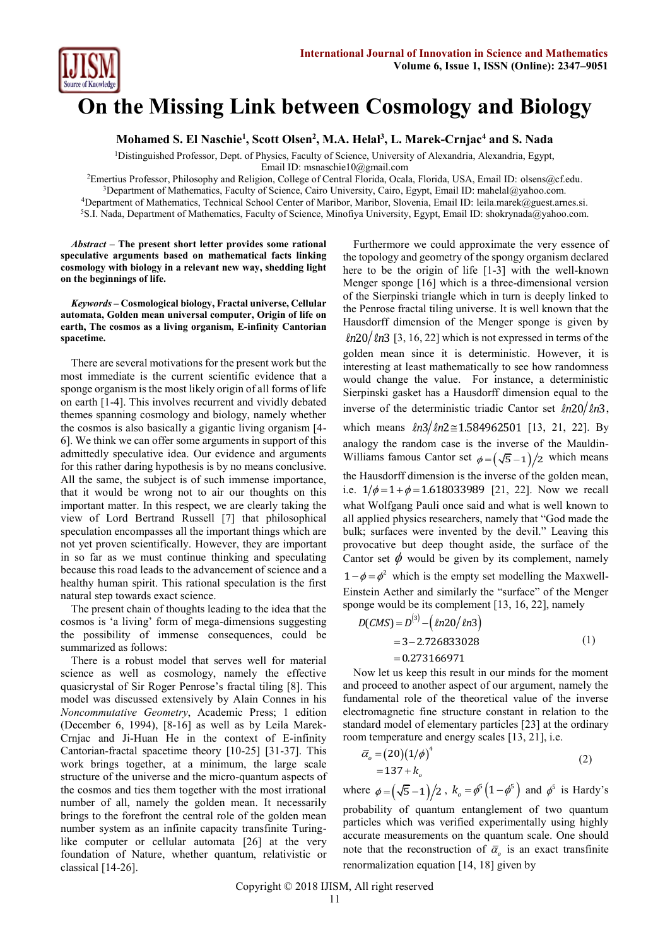

# **On the Missing Link between Cosmology and Biology**

**Mohamed S. El Naschie<sup>1</sup> , Scott Olsen<sup>2</sup> , M.A. Helal<sup>3</sup> , L. Marek-Crnjac<sup>4</sup> and S. Nada**

<sup>1</sup>Distinguished Professor, Dept. of Physics, Faculty of Science, University of Alexandria, Alexandria, Egypt,

Email ID: [msnaschie10@gmail.com](mailto:msnaschie10@gmail.com)

Emertius Professor, Philosophy and Religion, College of Central Florida, Ocala, Florida, USA, Email ID: [olsens@cf.edu.](mailto:olsens@cf.edu) Department of Mathematics, Faculty of Science, Cairo University, Cairo, Egypt, Email ID: mahelal@yahoo.com. Department of Mathematics, Technical School Center of Maribor, Maribor, Slovenia, Email ID: [leila.marek@guest.arnes.si.](mailto:leila.marek@guest.arnes.si) S.I. Nada, Department of Mathematics, Faculty of Science, Minofiya University, Egypt, Email ID: [shokrynada@yahoo.com.](mailto:shokrynada@yahoo.com)

*Abstract* **– The present short letter provides some rational speculative arguments based on mathematical facts linking cosmology with biology in a relevant new way, shedding light on the beginnings of life.**

*Keywords* **– Cosmological biology, Fractal universe, Cellular automata, Golden mean universal computer, Origin of life on earth, The cosmos as a living organism, E-infinity Cantorian spacetime.**

There are several motivations for the present work but the most immediate is the current scientific evidence that a sponge organism is the most likely origin of all forms of life on earth [1-4]. This involves recurrent and vividly debated themes spanning cosmology and biology, namely whether the cosmos is also basically a gigantic living organism [4- 6]. We think we can offer some arguments in support of this admittedly speculative idea. Our evidence and arguments for this rather daring hypothesis is by no means conclusive. All the same, the subject is of such immense importance, that it would be wrong not to air our thoughts on this important matter. In this respect, we are clearly taking the view of Lord Bertrand Russell [7] that philosophical speculation encompasses all the important things which are not yet proven scientifically. However, they are important in so far as we must continue thinking and speculating because this road leads to the advancement of science and a healthy human spirit. This rational speculation is the first natural step towards exact science.

The present chain of thoughts leading to the idea that the cosmos is 'a living' form of mega-dimensions suggesting the possibility of immense consequences, could be summarized as follows:

There is a robust model that serves well for material science as well as cosmology, namely the effective quasicrystal of Sir Roger Penrose's fractal tiling [8]. This model was discussed extensively by Alain Connes in his *Noncommutative Geometry*, Academic Press; 1 edition (December 6, 1994), [8-16] as well as by Leila Marek-Crnjac and Ji-Huan He in the context of E-infinity Cantorian-fractal spacetime theory [10-25] [31-37]. This work brings together, at a minimum, the large scale structure of the universe and the micro-quantum aspects of the cosmos and ties them together with the most irrational number of all, namely the golden mean. It necessarily brings to the forefront the central role of the golden mean number system as an infinite capacity transfinite Turinglike computer or cellular automata [26] at the very foundation of Nature, whether quantum, relativistic or classical [14-26].

Furthermore we could approximate the very essence of the topology and geometry of the spongy organism declared here to be the origin of life [1-3] with the well-known Menger sponge [16] which is a three-dimensional version of the Sierpinski triangle which in turn is deeply linked to the Penrose fractal tiling universe. It is well known that the Hausdorff dimension of the Menger sponge is given by  $ln20/ln3$  [3, 16, 22] which is not expressed in terms of the golden mean since it is deterministic. However, it is interesting at least mathematically to see how randomness would change the value. For instance, a deterministic Sierpinski gasket has a Hausdorff dimension equal to the inverse of the deterministic triadic Cantor set  $ln 20 / ln 3$ , which means  $ln3/ln2 \approx 1.584962501$  [13, 21, 22]. By analogy the random case is the inverse of the Mauldin-Williams famous Cantor set  $\phi = (\sqrt{5}-1)/2$  which means the Hausdorff dimension is the inverse of the golden mean, i.e.  $1/\phi = 1 + \phi = 1.618033989$  [21, 22]. Now we recall what Wolfgang Pauli once said and what is well known to all applied physics researchers, namely that "God made the bulk; surfaces were invented by the devil." Leaving this provocative but deep thought aside, the surface of the Cantor set  $\phi$  would be given by its complement, namely  $1 - \phi = \phi^2$  which is the empty set modelling the Maxwell-Einstein Aether and similarly the "surface" of the Menger sponge would be its complement [13, 16, 22], namely

$$
D(CMS) = D(3) - (ln20/ln3)
$$
  
= 3-2.726833028  
= 0.273166971 (1)

Now let us keep this result in our minds for the moment and proceed to another aspect of our argument, namely the fundamental role of the theoretical value of the inverse electromagnetic fine structure constant in relation to the standard model of elementary particles [23] at the ordinary room temperature and energy scales [13, 21], i.e.

$$
\overline{\alpha}_o = (20)(1/\phi)^4
$$
  
= 137 + k<sub>o</sub> (2)

where  $\phi = (\sqrt{5}-1)/2$ ,  $k_o = \phi^5(1-\phi^5)$  and  $\phi^5$  is Hardy's probability of quantum entanglement of two quantum particles which was verified experimentally using highly accurate measurements on the quantum scale. One should note that the reconstruction of  $\bar{\alpha}_o$  is an exact transfinite renormalization equation [14, 18] given by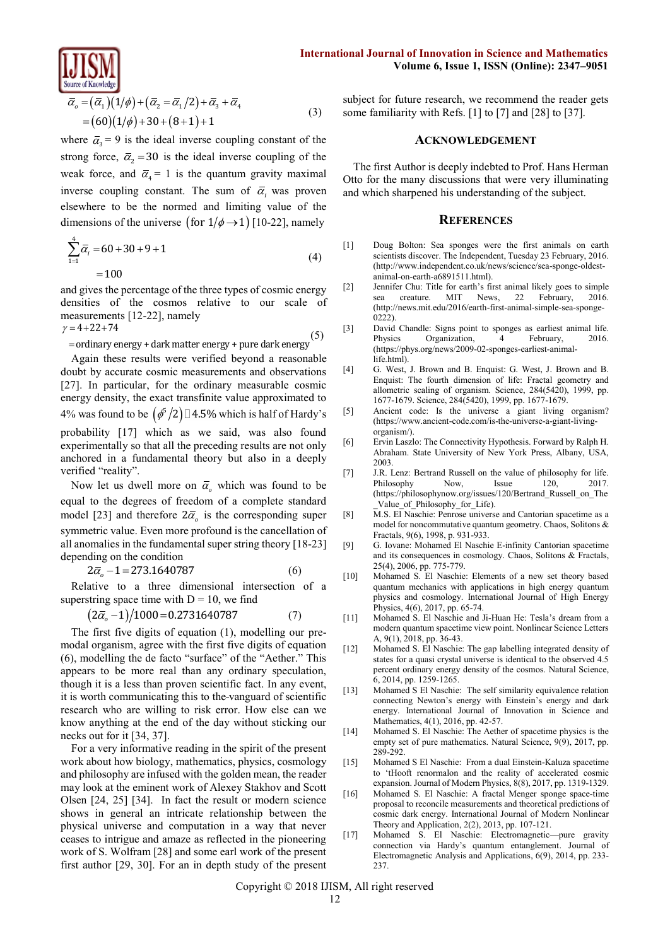$$
\overline{\overline{\alpha}_o} = (\overline{\alpha}_1)(1/\phi) + (\overline{\alpha}_2 = \overline{\alpha}_1/2) + \overline{\alpha}_3 + \overline{\alpha}_4
$$
  
= (60)(1/\phi) + 30 + (8+1) + 1 (3)

where  $\bar{\alpha}_3 = 9$  is the ideal inverse coupling constant of the strong force,  $\overline{\alpha}_2 = 30$  is the ideal inverse coupling of the weak force, and  $\bar{\alpha}_4 = 1$  is the quantum gravity maximal inverse coupling constant. The sum of  $\overline{\alpha}_i$  was proven elsewhere to be the normed and limiting value of the dimensions of the universe (for  $1/\phi \rightarrow 1$ ) [10-22], namely

$$
\sum_{1=1}^{4} \overline{\alpha}_{i} = 60 + 30 + 9 + 1
$$
\n
$$
= 100
$$
\n(4)

and gives the percentage of the three types of cosmic energy densities of the cosmos relative to our scale of measurements [12-22], namely  $y = 4 + 22 + 74$ 

= ordinary energy + dark matter energy + pure dark energy (5)

Again these results were verified beyond a reasonable doubt by accurate cosmic measurements and observations [27]. In particular, for the ordinary measurable cosmic energy density, the exact transfinite value approximated to 4% was found to be  $(\phi^5/2)$  4.5% which is half of Hardy's probability [17] which as we said, was also found experimentally so that all the preceding results are not only anchored in a fundamental theory but also in a deeply verified "reality".

Now let us dwell more on  $\bar{\alpha}_o$  which was found to be equal to the degrees of freedom of a complete standard model [23] and therefore  $2\overline{\alpha}_o$  is the corresponding super symmetric value. Even more profound is the cancellation of all anomalies in the fundamental super string theory [18-23] depending on the condition

$$
2\overline{\alpha}_o - 1 = 273.1640787\tag{6}
$$

Relative to a three dimensional intersection of a superstring space time with D = 10, we find<br> $(2\bar{\alpha}_o - 1)/1000 = 0.2731640787$ 

$$
(2\overline{\alpha}_o - 1)/1000 = 0.2731640787\tag{7}
$$

The first five digits of equation (1), modelling our premodal organism, agree with the first five digits of equation (6), modelling the de facto "surface" of the "Aether." This appears to be more real than any ordinary speculation, though it is a less than proven scientific fact. In any event, it is worth communicating this to the vanguard of scientific research who are willing to risk error. How else can we know anything at the end of the day without sticking our necks out for it [34, 37].

For a very informative reading in the spirit of the present work about how biology, mathematics, physics, cosmology and philosophy are infused with the golden mean, the reader may look at the eminent work of Alexey Stakhov and Scott Olsen [24, 25] [34]. In fact the result or modern science shows in general an intricate relationship between the physical universe and computation in a way that never ceases to intrigue and amaze as reflected in the pioneering work of S. Wolfram [28] and some earl work of the present first author [29, 30]. For an in depth study of the present subject for future research, we recommend the reader gets some familiarity with Refs. [1] to [7] and [28] to [37].

## **ACKNOWLEDGEMENT**

The first Author is deeply indebted to Prof. Hans Herman Otto for the many discussions that were very illuminating and which sharpened his understanding of the subject.

#### **REFERENCES**

- [1] Doug Bolton: Sea sponges were the first animals on earth scientists discover. The Independent, Tuesday 23 February, 2016. [\(http://www.independent.co.uk/news/science/sea-sponge-oldest](http://www.independent.co.uk/news/science/sea-sponge-oldest-animal-on-earth-a6891511.html)[animal-on-earth-a6891511.html\)](http://www.independent.co.uk/news/science/sea-sponge-oldest-animal-on-earth-a6891511.html).
- [2] Jennifer Chu: Title for earth's first animal likely goes to simple sea creature. MIT News, 22 February, 2016. [\(http://news.mit.edu/2016/earth-first-animal-simple-sea-sponge-](http://news.mit.edu/2016/earth-first-animal-simple-sea-sponge-0222)[0222\)](http://news.mit.edu/2016/earth-first-animal-simple-sea-sponge-0222).
- [3] David Chandle: Signs point to sponges as earliest animal life. Physics Organization, 4 February, 2016. [\(https://phys.org/news/2009-02-sponges-earliest-animal](https://phys.org/news/2009-02-sponges-earliest-animal-life.html)[life.html\)](https://phys.org/news/2009-02-sponges-earliest-animal-life.html).
- [4] G. West, J. Brown and B. Enquist: G. West, J. Brown and B. Enquist: The fourth dimension of life: Fractal geometry and allometric scaling of organism. Science, 284(5420), 1999, pp. 1677-1679. Science, 284(5420), 1999, pp. 1677-1679.
- [5] Ancient code: Is the universe a giant living organism? [\(https://www.ancient-code.com/is-the-universe-a-giant-living](https://www.ancient-code.com/is-the-universe-a-giant-living-organism/)[organism/\)](https://www.ancient-code.com/is-the-universe-a-giant-living-organism/).
- [6] Ervin Laszlo: The Connectivity Hypothesis. Forward by Ralph H. Abraham. State University of New York Press, Albany, USA, 2003.
- [7] J.R. Lenz: Bertrand Russell on the value of philosophy for life.<br>
Philosophy Now Issue 120. 2017. Philosophy Now, Issue [\(https://philosophynow.org/issues/120/Bertrand\\_Russell\\_on\\_The](https://philosophynow.org/issues/120/Bertrand_Russell_on_The_Value_of_Philosophy_for_Life) [\\_Value\\_of\\_Philosophy\\_for\\_Life\).](https://philosophynow.org/issues/120/Bertrand_Russell_on_The_Value_of_Philosophy_for_Life)
- [8] M.S. El Naschie: Penrose universe and Cantorian spacetime as a model for noncommutative quantum geometry. Chaos, Solitons & Fractals, 9(6), 1998, p. 931-933.
- [9] G. Iovane: Mohamed El Naschie E-infinity Cantorian spacetime and its consequences in cosmology. Chaos, Solitons & Fractals, 25(4), 2006, pp. 775-779.
- [10] Mohamed S. El Naschie: Elements of a new set theory based quantum mechanics with applications in high energy quantum physics and cosmology. International Journal of High Energy Physics, 4(6), 2017, pp. 65-74.
- [11] Mohamed S. El Naschie and Ji-Huan He: Tesla's dream from a modern quantum spacetime view point. Nonlinear Science Letters A, 9(1), 2018, pp. 36-43.
- [12] Mohamed S. El Naschie: The gap labelling integrated density of states for a quasi crystal universe is identical to the observed 4.5 percent ordinary energy density of the cosmos. Natural Science, 6, 2014, pp. 1259-1265.
- [13] Mohamed S El Naschie: The self similarity equivalence relation connecting Newton's energy with Einstein's energy and dark energy. International Journal of Innovation in Science and Mathematics, 4(1), 2016, pp. 42-57.
- [14] Mohamed S. El Naschie: The Aether of spacetime physics is the empty set of pure mathematics. Natural Science, 9(9), 2017, pp. 289-292.
- [15] Mohamed S El Naschie: From a dual Einstein-Kaluza spacetime to 'tHooft renormalon and the reality of accelerated cosmic expansion. Journal of Modern Physics, 8(8), 2017, pp. 1319-1329.
- [16] [Mohamed S. El Naschie:](http://www.scirp.org/journal/articles.aspx?searchCode=Mohamed+S.+El+Naschie&searchField=authors&page=1) [A fractal Menger sponge space-time](http://www.scirp.org/journal/PaperInformation.aspx?PaperID=32969)  [proposal to reconcile measurements and theoretical predictions of](http://www.scirp.org/journal/PaperInformation.aspx?PaperID=32969)  [cosmic dark energy.](http://www.scirp.org/journal/PaperInformation.aspx?PaperID=32969) [International Journal of Modern Nonlinear](http://www.scirp.org/journal/Home.aspx?JournalID=1261)  [Theory and Application,](http://www.scirp.org/journal/Home.aspx?JournalID=1261) [2\(2\)](http://www.scirp.org/journal/Home.aspx?IssueID=3095), 2013, pp. 107-121.
- [17] [Mohamed S. El Naschie:](http://www.scirp.org/journal/articles.aspx?searchCode=Mohamed+S.+El+Naschie&searchField=authors&page=1) [Electromagnetic](http://www.scirp.org/journal/PaperInformation.aspx?PaperID=49313)—pure gravity [connection via Hardy's quantum entanglement](http://www.scirp.org/journal/PaperInformation.aspx?PaperID=49313). [Journal of](http://www.scirp.org/journal/Home.aspx?JournalID=29)  [Electromagnetic Analysis and Applications,](http://www.scirp.org/journal/Home.aspx?JournalID=29) [6\(9\)](http://www.scirp.org/journal/Home.aspx?IssueID=5286), 2014, pp. 233- 237.

Copyright © 2018 IJISM, All right reserved